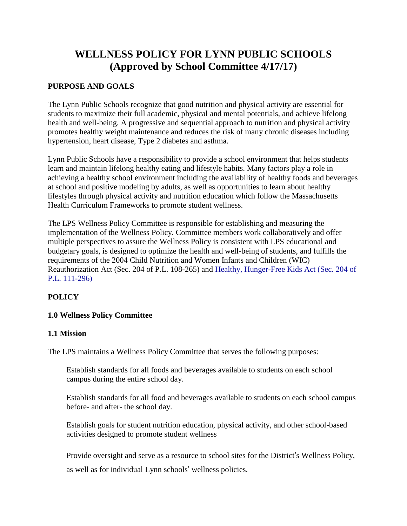# **WELLNESS POLICY FOR LYNN PUBLIC SCHOOLS (Approved by School Committee 4/17/17)**

## **PURPOSE AND GOALS**

The Lynn Public Schools recognize that good nutrition and physical activity are essential for students to maximize their full academic, physical and mental potentials, and achieve lifelong health and well-being. A progressive and sequential approach to nutrition and physical activity promotes healthy weight maintenance and reduces the risk of many chronic diseases including hypertension, heart disease, Type 2 diabetes and asthma.

Lynn Public Schools have a responsibility to provide a school environment that helps students learn and maintain lifelong healthy eating and lifestyle habits. Many factors play a role in achieving a healthy school environment including the availability of healthy foods and beverages at school and positive modeling by adults, as well as opportunities to learn about healthy lifestyles through physical activity and nutrition education which follow the Massachusetts Health Curriculum Frameworks to promote student wellness.

The LPS Wellness Policy Committee is responsible for establishing and measuring the implementation of the Wellness Policy. Committee members work collaboratively and offer multiple perspectives to assure the Wellness Policy is consistent with LPS educational and budgetary goals, is designed to optimize the health and well-being of students, and fulfills the requirements of the 2004 Child Nutrition and Women Infants and Children (WIC) Reauthorization Act (Sec. 204 of P.L. 108-265) and [Healthy, Hunger-Free Kids Act \(Sec. 204 of](http://www.gpo.gov/fdsys/pkg/plaw-111publ296/pdf/plaw-111publ296.pdf)  [P.L. 111-296\)](http://www.gpo.gov/fdsys/pkg/plaw-111publ296/pdf/plaw-111publ296.pdf)

# **POLICY**

## **1.0 Wellness Policy Committee**

#### **1.1 Mission**

The LPS maintains a Wellness Policy Committee that serves the following purposes:

Establish standards for all foods and beverages available to students on each school campus during the entire school day.

Establish standards for all food and beverages available to students on each school campus before- and after- the school day.

Establish goals for student nutrition education, physical activity, and other school-based activities designed to promote student wellness

Provide oversight and serve as a resource to school sites for the District's Wellness Policy, as well as for individual Lynn schools' wellness policies.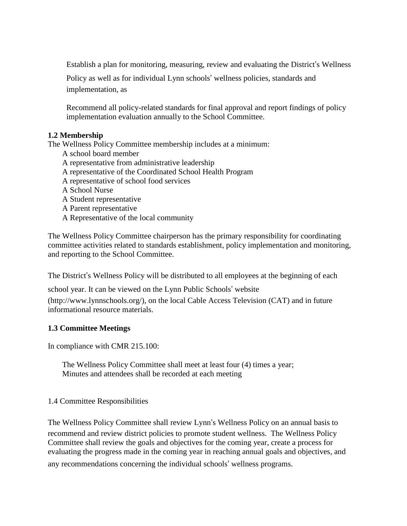Establish a plan for monitoring, measuring, review and evaluating the District's Wellness

Policy as well as for individual Lynn schools' wellness policies, standards and implementation, as

Recommend all policy-related standards for final approval and report findings of policy implementation evaluation annually to the School Committee.

## **1.2 Membership**

The Wellness Policy Committee membership includes at a minimum:

- A school board member
- A representative from administrative leadership
- A representative of the Coordinated School Health Program
- A representative of school food services
- A School Nurse
- A Student representative
- A Parent representative
- A Representative of the local community

The Wellness Policy Committee chairperson has the primary responsibility for coordinating committee activities related to standards establishment, policy implementation and monitoring, and reporting to the School Committee.

The District's Wellness Policy will be distributed to all employees at the beginning of each

school year. It can be viewed on the Lynn Public Schools' website

(http://www.lynnschools.org/), on the local Cable Access Television (CAT) and in future informational resource materials.

#### **1.3 Committee Meetings**

In compliance with CMR 215.100:

The Wellness Policy Committee shall meet at least four (4) times a year; Minutes and attendees shall be recorded at each meeting

#### 1.4 Committee Responsibilities

The Wellness Policy Committee shall review Lynn's Wellness Policy on an annual basis to recommend and review district policies to promote student wellness. The Wellness Policy Committee shall review the goals and objectives for the coming year, create a process for evaluating the progress made in the coming year in reaching annual goals and objectives, and any recommendations concerning the individual schools' wellness programs.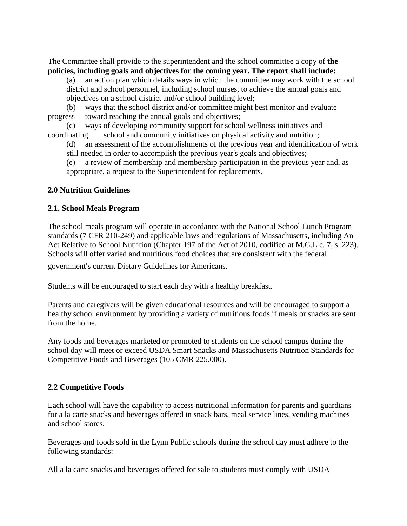The Committee shall provide to the superintendent and the school committee a copy of **the policies, including goals and objectives for the coming year. The report shall include:**

(a) an action plan which details ways in which the committee may work with the school district and school personnel, including school nurses, to achieve the annual goals and objectives on a school district and/or school building level;

(b) ways that the school district and/or committee might best monitor and evaluate progress toward reaching the annual goals and objectives;

(c) ways of developing community support for school wellness initiatives and coordinating school and community initiatives on physical activity and nutrition;

(d) an assessment of the accomplishments of the previous year and identification of work still needed in order to accomplish the previous year's goals and objectives;

(e) a review of membership and membership participation in the previous year and, as appropriate, a request to the Superintendent for replacements.

## **2.0 Nutrition Guidelines**

## **2.1. School Meals Program**

The school meals program will operate in accordance with the National School Lunch Program standards (7 CFR 210-249) and applicable laws and regulations of Massachusetts, including An Act Relative to School Nutrition (Chapter 197 of the Act of 2010, codified at M.G.L c. 7, s. 223). Schools will offer varied and nutritious food choices that are consistent with the federal

government's current Dietary Guidelines for Americans.

Students will be encouraged to start each day with a healthy breakfast.

Parents and caregivers will be given educational resources and will be encouraged to support a healthy school environment by providing a variety of nutritious foods if meals or snacks are sent from the home.

Any foods and beverages marketed or promoted to students on the school campus during the school day will meet or exceed USDA Smart Snacks and Massachusetts Nutrition Standards for Competitive Foods and Beverages (105 CMR 225.000).

# **2.2 Competitive Foods**

Each school will have the capability to access nutritional information for parents and guardians for a la carte snacks and beverages offered in snack bars, meal service lines, vending machines and school stores.

Beverages and foods sold in the Lynn Public schools during the school day must adhere to the following standards:

All a la carte snacks and beverages offered for sale to students must comply with USDA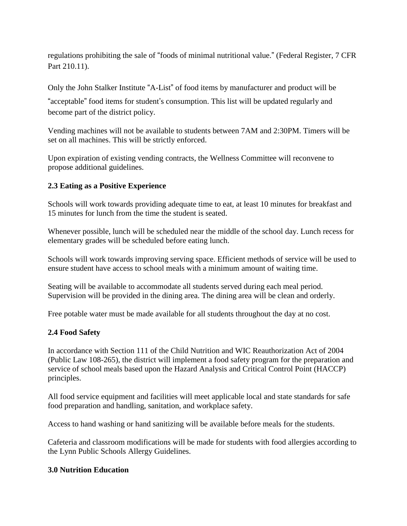regulations prohibiting the sale of "foods of minimal nutritional value." (Federal Register, 7 CFR Part 210.11).

Only the John Stalker Institute "A-List" of food items by manufacturer and product will be

"acceptable" food items for student's consumption. This list will be updated regularly and become part of the district policy.

Vending machines will not be available to students between 7AM and 2:30PM. Timers will be set on all machines. This will be strictly enforced.

Upon expiration of existing vending contracts, the Wellness Committee will reconvene to propose additional guidelines.

#### **2.3 Eating as a Positive Experience**

Schools will work towards providing adequate time to eat, at least 10 minutes for breakfast and 15 minutes for lunch from the time the student is seated.

Whenever possible, lunch will be scheduled near the middle of the school day. Lunch recess for elementary grades will be scheduled before eating lunch.

Schools will work towards improving serving space. Efficient methods of service will be used to ensure student have access to school meals with a minimum amount of waiting time.

Seating will be available to accommodate all students served during each meal period. Supervision will be provided in the dining area. The dining area will be clean and orderly.

Free potable water must be made available for all students throughout the day at no cost.

#### **2.4 Food Safety**

In accordance with Section 111 of the Child Nutrition and WIC Reauthorization Act of 2004 (Public Law 108-265), the district will implement a food safety program for the preparation and service of school meals based upon the Hazard Analysis and Critical Control Point (HACCP) principles.

All food service equipment and facilities will meet applicable local and state standards for safe food preparation and handling, sanitation, and workplace safety.

Access to hand washing or hand sanitizing will be available before meals for the students.

Cafeteria and classroom modifications will be made for students with food allergies according to the Lynn Public Schools Allergy Guidelines.

#### **3.0 Nutrition Education**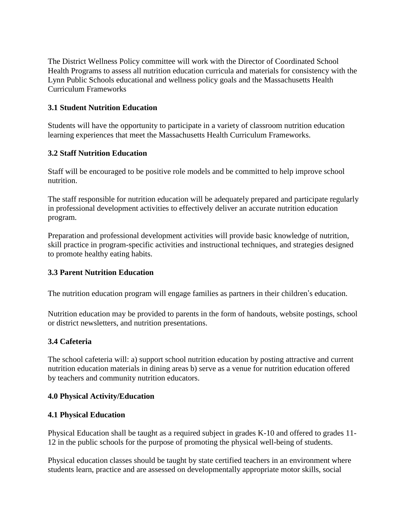The District Wellness Policy committee will work with the Director of Coordinated School Health Programs to assess all nutrition education curricula and materials for consistency with the Lynn Public Schools educational and wellness policy goals and the Massachusetts Health Curriculum Frameworks

## **3.1 Student Nutrition Education**

Students will have the opportunity to participate in a variety of classroom nutrition education learning experiences that meet the Massachusetts Health Curriculum Frameworks.

# **3.2 Staff Nutrition Education**

Staff will be encouraged to be positive role models and be committed to help improve school nutrition.

The staff responsible for nutrition education will be adequately prepared and participate regularly in professional development activities to effectively deliver an accurate nutrition education program.

Preparation and professional development activities will provide basic knowledge of nutrition, skill practice in program-specific activities and instructional techniques, and strategies designed to promote healthy eating habits.

# **3.3 Parent Nutrition Education**

The nutrition education program will engage families as partners in their children's education.

Nutrition education may be provided to parents in the form of handouts, website postings, school or district newsletters, and nutrition presentations.

# **3.4 Cafeteria**

The school cafeteria will: a) support school nutrition education by posting attractive and current nutrition education materials in dining areas b) serve as a venue for nutrition education offered by teachers and community nutrition educators.

## **4.0 Physical Activity/Education**

## **4.1 Physical Education**

Physical Education shall be taught as a required subject in grades K-10 and offered to grades 11- 12 in the public schools for the purpose of promoting the physical well-being of students.

Physical education classes should be taught by state certified teachers in an environment where students learn, practice and are assessed on developmentally appropriate motor skills, social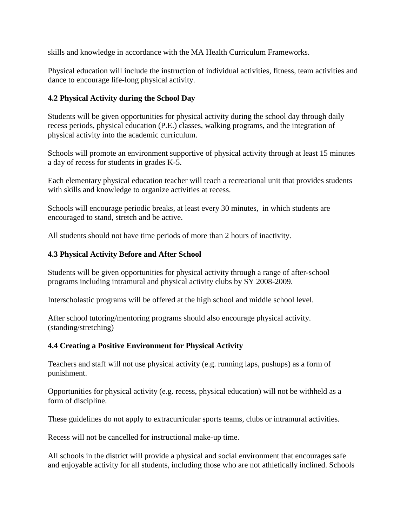skills and knowledge in accordance with the MA Health Curriculum Frameworks.

Physical education will include the instruction of individual activities, fitness, team activities and dance to encourage life-long physical activity.

## **4.2 Physical Activity during the School Day**

Students will be given opportunities for physical activity during the school day through daily recess periods, physical education (P.E.) classes, walking programs, and the integration of physical activity into the academic curriculum.

Schools will promote an environment supportive of physical activity through at least 15 minutes a day of recess for students in grades K-5.

Each elementary physical education teacher will teach a recreational unit that provides students with skills and knowledge to organize activities at recess.

Schools will encourage periodic breaks, at least every 30 minutes, in which students are encouraged to stand, stretch and be active.

All students should not have time periods of more than 2 hours of inactivity.

## **4.3 Physical Activity Before and After School**

Students will be given opportunities for physical activity through a range of after-school programs including intramural and physical activity clubs by SY 2008-2009.

Interscholastic programs will be offered at the high school and middle school level.

After school tutoring/mentoring programs should also encourage physical activity. (standing/stretching)

## **4.4 Creating a Positive Environment for Physical Activity**

Teachers and staff will not use physical activity (e.g. running laps, pushups) as a form of punishment.

Opportunities for physical activity (e.g. recess, physical education) will not be withheld as a form of discipline.

These guidelines do not apply to extracurricular sports teams, clubs or intramural activities.

Recess will not be cancelled for instructional make-up time.

All schools in the district will provide a physical and social environment that encourages safe and enjoyable activity for all students, including those who are not athletically inclined. Schools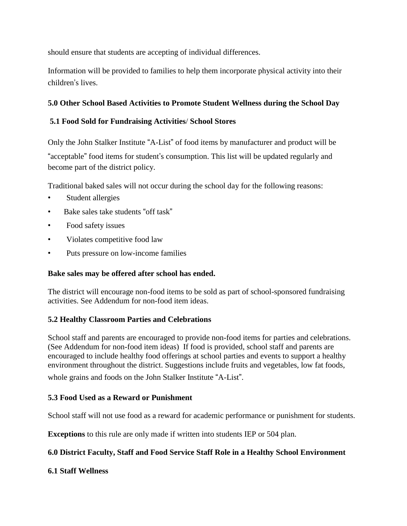should ensure that students are accepting of individual differences.

Information will be provided to families to help them incorporate physical activity into their children's lives.

## **5.0 Other School Based Activities to Promote Student Wellness during the School Day**

## **5.1 Food Sold for Fundraising Activities**/ **School Stores**

Only the John Stalker Institute "A-List" of food items by manufacturer and product will be "acceptable" food items for student's consumption. This list will be updated regularly and become part of the district policy.

Traditional baked sales will not occur during the school day for the following reasons:

- Student allergies
- Bake sales take students "off task"
- Food safety issues
- Violates competitive food law
- Puts pressure on low-income families

# **Bake sales may be offered after school has ended.**

The district will encourage non-food items to be sold as part of school-sponsored fundraising activities. See Addendum for non-food item ideas.

# **5.2 Healthy Classroom Parties and Celebrations**

School staff and parents are encouraged to provide non-food items for parties and celebrations. (See Addendum for non-food item ideas) If food is provided, school staff and parents are encouraged to include healthy food offerings at school parties and events to support a healthy environment throughout the district. Suggestions include fruits and vegetables, low fat foods,

whole grains and foods on the John Stalker Institute "A-List".

# **5.3 Food Used as a Reward or Punishment**

School staff will not use food as a reward for academic performance or punishment for students.

**Exceptions** to this rule are only made if written into students IEP or 504 plan.

# **6.0 District Faculty, Staff and Food Service Staff Role in a Healthy School Environment**

# **6.1 Staff Wellness**